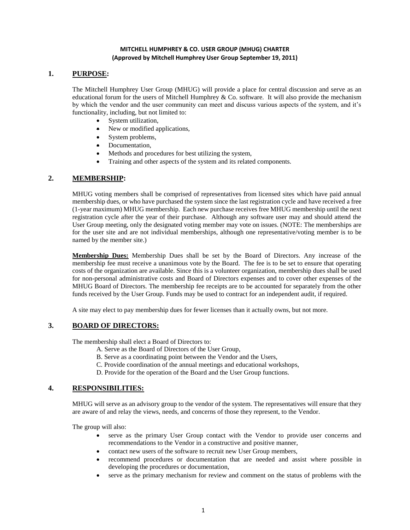#### **MITCHELL HUMPHREY & CO. USER GROUP (MHUG) CHARTER (Approved by Mitchell Humphrey User Group September 19, 2011)**

## **1. PURPOSE:**

The Mitchell Humphrey User Group (MHUG) will provide a place for central discussion and serve as an educational forum for the users of Mitchell Humphrey  $\&$  Co. software. It will also provide the mechanism by which the vendor and the user community can meet and discuss various aspects of the system, and it's functionality, including, but not limited to:

- System utilization,
- New or modified applications,
- System problems,
- Documentation,
- Methods and procedures for best utilizing the system,
- Training and other aspects of the system and its related components.

### **2. MEMBERSHIP:**

MHUG voting members shall be comprised of representatives from licensed sites which have paid annual membership dues, or who have purchased the system since the last registration cycle and have received a free (1-year maximum) MHUG membership. Each new purchase receives free MHUG membership until the next registration cycle after the year of their purchase. Although any software user may and should attend the User Group meeting, only the designated voting member may vote on issues. (NOTE: The memberships are for the user site and are not individual memberships, although one representative/voting member is to be named by the member site.)

**Membership Dues:** Membership Dues shall be set by the Board of Directors. Any increase of the membership fee must receive a unanimous vote by the Board. The fee is to be set to ensure that operating costs of the organization are available. Since this is a volunteer organization, membership dues shall be used for non-personal administrative costs and Board of Directors expenses and to cover other expenses of the MHUG Board of Directors. The membership fee receipts are to be accounted for separately from the other funds received by the User Group. Funds may be used to contract for an independent audit, if required.

A site may elect to pay membership dues for fewer licenses than it actually owns, but not more.

## **3. BOARD OF DIRECTORS:**

The membership shall elect a Board of Directors to:

- A. Serve as the Board of Directors of the User Group,
- B. Serve as a coordinating point between the Vendor and the Users,
- C. Provide coordination of the annual meetings and educational workshops,
- D. Provide for the operation of the Board and the User Group functions.

# **4. RESPONSIBILITIES:**

MHUG will serve as an advisory group to the vendor of the system. The representatives will ensure that they are aware of and relay the views, needs, and concerns of those they represent, to the Vendor.

The group will also:

- serve as the primary User Group contact with the Vendor to provide user concerns and recommendations to the Vendor in a constructive and positive manner,
- contact new users of the software to recruit new User Group members,
- recommend procedures or documentation that are needed and assist where possible in developing the procedures or documentation,
- serve as the primary mechanism for review and comment on the status of problems with the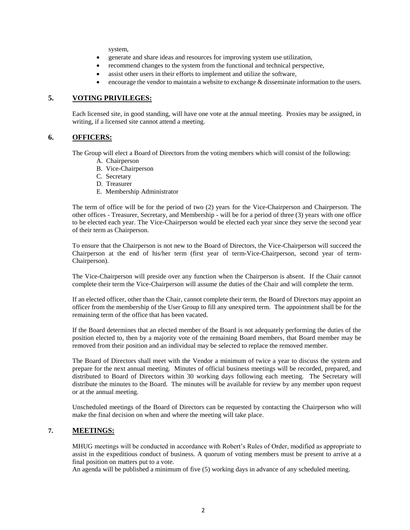system,

- generate and share ideas and resources for improving system use utilization,
- recommend changes to the system from the functional and technical perspective,
- assist other users in their efforts to implement and utilize the software,
- encourage the vendor to maintain a website to exchange  $\&$  disseminate information to the users.

#### **5. VOTING PRIVILEGES:**

Each licensed site, in good standing, will have one vote at the annual meeting. Proxies may be assigned, in writing, if a licensed site cannot attend a meeting.

#### **6. OFFICERS:**

The Group will elect a Board of Directors from the voting members which will consist of the following:

- A. Chairperson
- B. Vice-Chairperson
- C. Secretary
- D. Treasurer
- E. Membership Administrator

The term of office will be for the period of two (2) years for the Vice-Chairperson and Chairperson. The other offices - Treasurer, Secretary, and Membership - will be for a period of three (3) years with one office to be elected each year. The Vice-Chairperson would be elected each year since they serve the second year of their term as Chairperson.

To ensure that the Chairperson is not new to the Board of Directors, the Vice-Chairperson will succeed the Chairperson at the end of his/her term (first year of term-Vice-Chairperson, second year of term-Chairperson).

The Vice-Chairperson will preside over any function when the Chairperson is absent. If the Chair cannot complete their term the Vice-Chairperson will assume the duties of the Chair and will complete the term.

If an elected officer, other than the Chair, cannot complete their term, the Board of Directors may appoint an officer from the membership of the User Group to fill any unexpired term. The appointment shall be for the remaining term of the office that has been vacated.

If the Board determines that an elected member of the Board is not adequately performing the duties of the position elected to, then by a majority vote of the remaining Board members, that Board member may be removed from their position and an individual may be selected to replace the removed member.

The Board of Directors shall meet with the Vendor a minimum of twice a year to discuss the system and prepare for the next annual meeting. Minutes of official business meetings will be recorded, prepared, and distributed to Board of Directors within 30 working days following each meeting. The Secretary will distribute the minutes to the Board. The minutes will be available for review by any member upon request or at the annual meeting.

Unscheduled meetings of the Board of Directors can be requested by contacting the Chairperson who will make the final decision on when and where the meeting will take place.

# **7. MEETINGS:**

MHUG meetings will be conducted in accordance with Robert's Rules of Order, modified as appropriate to assist in the expeditious conduct of business. A quorum of voting members must be present to arrive at a final position on matters put to a vote.

An agenda will be published a minimum of five (5) working days in advance of any scheduled meeting.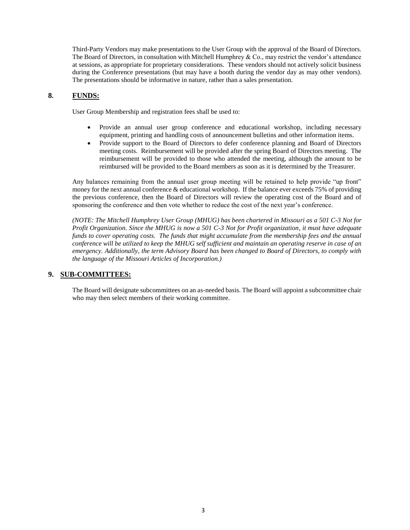Third-Party Vendors may make presentations to the User Group with the approval of the Board of Directors. The Board of Directors, in consultation with Mitchell Humphrey & Co., may restrict the vendor's attendance at sessions, as appropriate for proprietary considerations. These vendors should not actively solicit business during the Conference presentations (but may have a booth during the vendor day as may other vendors). The presentations should be informative in nature, rather than a sales presentation.

# **8. FUNDS:**

User Group Membership and registration fees shall be used to:

- Provide an annual user group conference and educational workshop, including necessary equipment, printing and handling costs of announcement bulletins and other information items.
- Provide support to the Board of Directors to defer conference planning and Board of Directors meeting costs. Reimbursement will be provided after the spring Board of Directors meeting. The reimbursement will be provided to those who attended the meeting, although the amount to be reimbursed will be provided to the Board members as soon as it is determined by the Treasurer.

Any balances remaining from the annual user group meeting will be retained to help provide "up front" money for the next annual conference & educational workshop. If the balance ever exceeds 75% of providing the previous conference, then the Board of Directors will review the operating cost of the Board and of sponsoring the conference and then vote whether to reduce the cost of the next year's conference.

*(NOTE: The Mitchell Humphrey User Group (MHUG) has been chartered in Missouri as a 501 C-3 Not for Profit Organization. Since the MHUG is now a 501 C-3 Not for Profit organization, it must have adequate funds to cover operating costs. The funds that might accumulate from the membership fees and the annual conference will be utilized to keep the MHUG self sufficient and maintain an operating reserve in case of an emergency. Additionally, the term Advisory Board has been changed to Board of Directors, to comply with the language of the Missouri Articles of Incorporation.)*

## **9. SUB-COMMITTEES:**

The Board will designate subcommittees on an as-needed basis. The Board will appoint a subcommittee chair who may then select members of their working committee.